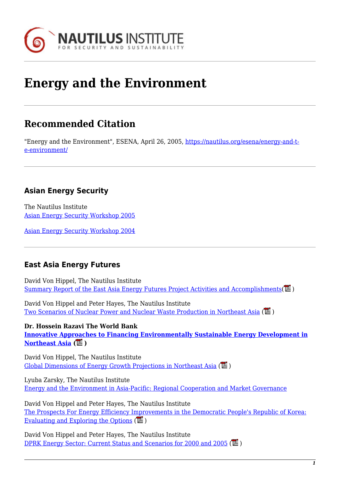

# **Energy and the Environment**

# **Recommended Citation**

"Energy and the Environment", ESENA, April 26, 2005, [https://nautilus.org/esena/energy-and-t](https://nautilus.org/esena/energy-and-the-environment/)[e-environment/](https://nautilus.org/esena/energy-and-the-environment/)

# **Asian Energy Security**

The Nautilus Institute [Asian Energy Security Workshop 2005](http://www.nautilus.org/energy/2005/beijingworkshop/index.html)

[Asian Energy Security Workshop 2004](https://nautilus.org/projects/by-name/asian-energy-security/2004-2/)

#### **East Asia Energy Futures**

David Von Hippel, The Nautilus Institute [Summary Report of the East Asia Energy Futures Project Activities and Accomplishments\(](https://nautilus.org/wp-content/uploads/2015/04/EAEF_Report_20021.pdf) $\mathbb{Z}$ )

David Von Hippel and Peter Hayes, The Nautilus Institute [Two Scenarios of Nuclear Power and Nuclear Waste Production in Northeast Asia](https://nautilus.org/wp-content/uploads/2011/12/dvh_hayesNukeScenarios.pdf)  $(\mathbb{Z})$ 

**Dr. Hossein Razavi The World Bank [Innovative Approaches to Financing Environmentally Sustainable Energy Development in](https://nautilus.org/?p=42672&preview=true) [Northeast Asia](https://nautilus.org/?p=42672&preview=true) ( )**

David Von Hippel, The Nautilus Institute [Global Dimensions of Energy Growth Projections in Northeast Asia](https://nautilus.org/wp-content/uploads/2015/04/dvhglobal.pdf)  $(\mathbb{Z})$ 

Lyuba Zarsky, The Nautilus Institute [Energy and the Environment in Asia-Pacific: Regional Cooperation and Market Governance](https://nautilus.org/?p=42679&preview=true)

David Von Hippel and Peter Hayes, The Nautilus Institute [The Prospects For Energy Efficiency Improvements in the Democratic People's Republic of Korea:](https://nautilus.org/staff-publications/the-prospects-for-energy-efficiency-improvements-in-the-democratic-peoples-republic-of-korea-evaluating-and-exploring-the-options/) [Evaluating and Exploring the Options](https://nautilus.org/staff-publications/the-prospects-for-energy-efficiency-improvements-in-the-democratic-peoples-republic-of-korea-evaluating-and-exploring-the-options/)  $(\mathbb{Z})$ 

David Von Hippel and Peter Hayes, The Nautilus Institute [DPRK Energy Sector: Current Status and Scenarios for 2000 and 2005](https://nautilus.org/wp-content/uploads/2011/12/dvh_hayesscenarios.pdf) ( $\Box$ )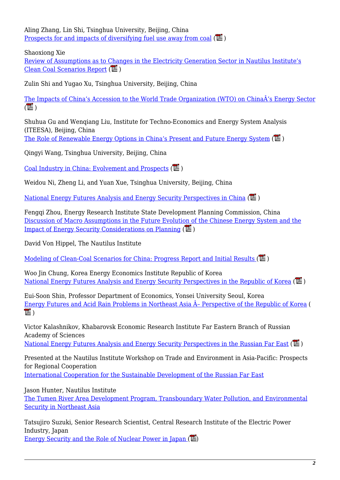Aling Zhang, Lin Shi, Tsinghua University, Beijing, China [Prospects for and impacts of diversifying fuel use away from coal](https://nautilus.org/wp-content/uploads/2015/04/C2_final.pdf)  $(\mathbb{E})$ 

Shaoxiong Xie

[Review of Assumptions as to Changes in the Electricity Generation Sector in Nautilus Institute's](https://nautilus.org/wp-content/uploads/2015/04/Rev2_final.pdf) [Clean Coal Scenarios Report](https://nautilus.org/wp-content/uploads/2015/04/Rev2_final.pdf) ( $\Box$ )

Zulin Shi and Yugao Xu, Tsinghua University, Beijing, China

[The Impacts of China's Accession to the World Trade Organization \(WTO\) on ChinaÂ's Energy Sector](https://nautilus.org/wp-content/uploads/2011/12/C3_final.pdf)  $(\mathbb{Z})$ 

Shuhua Gu and Wengiang Liu, Institute for Techno-Economics and Energy System Analysis (ITEESA), Beijing, China

[The Role of Renewable Energy Options in China's Present and Future Energy System](https://nautilus.org/wp-content/uploads/2015/04/C4_final.pdf)  $(\mathbb{Z})$ 

Qingyi Wang, Tsinghua University, Beijing, China

[Coal Industry in China: Evolvement and Prospects](https://nautilus.org/wp-content/uploads/2015/04/C5_final.pdf)  $(\Box)$ 

Weidou Ni, Zheng Li, and Yuan Xue, Tsinghua University, Beijing, China

[National Energy Futures Analysis and Energy Security Perspectives in China](https://nautilus.org/wp-content/uploads/2011/12/Reg_China_final.pdf) ( )

Fengqi Zhou, Energy Research Institute State Development Planning Commission, China [Discussion of Macro Assumptions in the Future Evolution of the Chinese Energy System and the](https://nautilus.org/wp-content/uploads/2011/12/C1_final.pdf) [Impact of Energy Security Considerations on Planning](https://nautilus.org/wp-content/uploads/2011/12/C1_final.pdf)  $(\overline{L})$ 

David Von Hippel, The Nautilus Institute

[Modeling of Clean-Coal Scenarios for China: Progress Report and Initial Results](https://nautilus.org/wp-content/uploads/2011/12/DVH_cc_PAPER.pdf) ( $\Box$ )

Woo Jin Chung, Korea Energy Economics Institute Republic of Korea [National Energy Futures Analysis and Energy Security Perspectives in the Republic of Korea](https://nautilus.org/wp-content/uploads/2011/12/Reg_Chung_final.pdf)  $(\mathbb{Z})$ 

Eui-Soon Shin, Professor Department of Economics, Yonsei University Seoul, Korea Energy Futures and Acid Rain Problems in Northeast Asia  $\hat{A}$ - Perspective of the Republic of Korea (  $\mathbb{Z}$ )

Victor Kalashnikov, Khabarovsk Economic Research Institute Far Eastern Branch of Russian Academy of Sciences

[National Energy Futures Analysis and Energy Security Perspectives in the Russian Far East](https://nautilus.org/wp-content/uploads/2011/12/Reg_RFE_final.pdf) ( $\mathbb{Z}$ )

Presented at the Nautilus Institute Workshop on Trade and Environment in Asia-Pacific: Prospects for Regional Cooperation

[International Cooperation for the Sustainable Development of the Russian Far East](https://nautilus.org/?p=42695&preview=true)

Jason Hunter, Nautilus Institute

[The Tumen River Area Development Program, Transboundary Water Pollution, and Environmental](https://nautilus.org/?p=42696&preview=true) [Security in Northeast Asia](https://nautilus.org/?p=42696&preview=true)

Tatsujiro Suzuki, Senior Research Scientist, Central Research Institute of the Electric Power Industry, Japan Energy Security and the Role of Nuclear Power in Japan  $(\mathbb{Z})$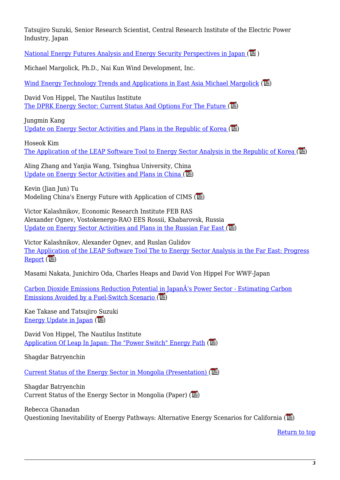Tatsujiro Suzuki, Senior Research Scientist, Central Research Institute of the Electric Power Industry, Japan

[National Energy Futures Analysis and Energy Security Perspectives in Japan](https://nautilus.org/wp-content/uploads/2015/04/Reg_Japan_final1.pdf)  $(\mathbb{Z})$ 

Michael Margolick, Ph.D., Nai Kun Wind Development, Inc.

[Wind Energy Technology Trends and Applications in East Asia Michael Margolick](https://nautilus.org/wp-content/uploads/2015/04/MargolickWindCurrent.pdf)  $(\mathbb{Z})$ 

David Von Hippel, The Nautilus Institute The DPRK Energy Sector: Current Status And Options For The Future  $(\mathbb{Z})$ 

Jungmin Kang [Update on Energy Sector Activities and Plans in the Republic of Korea](https://nautilus.org/wp-content/uploads/2011/12/KangROKCurrent.pdf)  $(\mathbb{Z})$ 

Hoseok Kim [The Application of the LEAP Software Tool to Energy Sector Analysis in the Republic of Korea](https://nautilus.org/wp-content/uploads/2011/12/KimROKData.pdf)  $(\Gamma)$ 

Aling Zhang and Yanjia Wang, Tsinghua University, China [Update on Energy Sector Activities and Plans in China](https://nautilus.org/wp-content/uploads/2011/12/PRC_WANG_Current.pdf)  $(\mathbb{Z})$ 

Kevin (Jian Jun) Tu Modeling China's Energy Future with Application of CIMS  $(\mathbb{Z})$ 

Victor Kalashnikov, Economic Research Institute FEB RAS Alexander Ognev, Vostokenergo-RAO EES Rossii, Khabarovsk, Russia Update on Energy Sector Activities and Plans in the Russian Far East  $(\mathbb{L})$ 

Victor Kalashnikov, Alexander Ognev, and Ruslan Gulidov [The Application of the LEAP Software Tool The to Energy Sector Analysis in the Far East: Progress](https://nautilus.org/wp-content/uploads/2011/12/KalashnikovRFdata.pdf) [Report](https://nautilus.org/wp-content/uploads/2011/12/KalashnikovRFdata.pdf)  $(\mathbb{Z})$ 

Masami Nakata, Junichiro Oda, Charles Heaps and David Von Hippel For WWF-Japan

[Carbon Dioxide Emissions Reduction Potential in JapanÂ's Power Sector - Estimating Carbon](https://nautilus.org/wp-content/uploads/2015/04/ps_Final_Oct_03.pdf) [Emissions Avoided by a Fuel-Switch Scenario](https://nautilus.org/wp-content/uploads/2015/04/ps_Final_Oct_03.pdf)  $(\mathbb{Z})$ 

Kae Takase and Tatsujiro Suzuki [Energy Update in Japan](https://nautilus.org/wp-content/uploads/2011/12/TakaseJapanCurrent.pdf)  $(\Box)$ 

David Von Hippel, The Nautilus Institute [Application Of Leap In Japan: The "Power Switch" Energy Path](https://nautilus.org/wp-content/uploads/2011/12/DvHJapanData.pdf) ( $\mathbb{L}$ )

Shagdar Batryenchin

[Current Status of the Energy Sector in Mongolia \(Presentation\)](https://nautilus.org/wp-content/uploads/2015/04/Batryenchin_Mongolia_Current.pdf)  $(\mathbb{E})$ 

Shagdar Batryenchin Current Status of the Energy Sector in Mongolia (Paper)  $(\mathbb{L})$ 

Rebecca Ghanadan Questioning Inevitability of Energy Pathways: Alternative Energy Scenarios for California  $(\mathbb{L})$ 

[Return to top](http://oldsite.nautilus.org/papers/energy.html#top)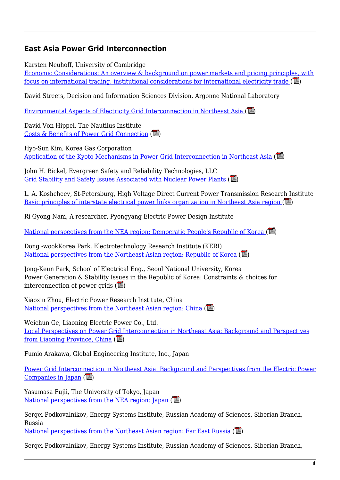#### **East Asia Power Grid Interconnection**

Karsten Neuhoff, University of Cambridge

[Economic Considerations: An overview & background on power markets and pricing principles, with](https://nautilus.org/wp-content/uploads/2015/04/neuhoff.pdf) focus on international trading, institutional considerations for international electricity trade  $(\overline{\mathbb{L}})$ 

David Streets, Decision and Information Sciences Division, Argonne National Laboratory

Environmental Aspects of Electricity Grid Interconnection in Northeast Asia  $(\mathbb{L})$ 

David Von Hippel, The Nautilus Institute [Costs & Benefits of Power Grid Connection](https://nautilus.org/wp-content/uploads/2011/12/dvh.pdf)  $(\mathbb{Z})$ 

Hyo-Sun Kim, Korea Gas Corporation Application of the Kyoto Mechanisms in Power Grid Interconnection in Northeast Asia  $(\mathbb{L})$ 

John H. Bickel, Evergreen Safety and Reliability Technologies, LLC Grid Stability and Safety Issues Associated with Nuclear Power Plants  $(\mathbb{Z})$ 

L. A. Koshcheev, St-Petersburg, High Voltage Direct Current Power Transmission Research Institute [Basic principles of interstate electrical power links organization in Northeast Asia region](https://nautilus.org/wp-content/uploads/2011/12/koshcheev.pdf)  $(\mathbb{E})$ 

Ri Gyong Nam, A researcher, Pyongyang Electric Power Design Institute

[National perspectives from the NEA region: Democratic People's Republic of Korea \(](https://nautilus.org/wp-content/uploads/2015/04/ri.pdf)

Dong -wookKorea Park, Electrotechnology Research Institute (KERI) National perspectives from the Northeast Asian region: Republic of Korea  $(\mathbb{Z})$ 

Jong-Keun Park, School of Electrical Eng., Seoul National University, Korea Power Generation & Stability Issues in the Republic of Korea: Constraints & choices for interconnection of power grids  $(\mathbb{Z})$ 

Xiaoxin Zhou, Electric Power Research Institute, China [National perspectives from the Northeast Asian region: China](https://nautilus.org/wp-content/uploads/2011/12/zhou.pdf) ( $\Box$ )

Weichun Ge, Liaoning Electric Power Co., Ltd. [Local Perspectives on Power Grid Interconnection in Northeast Asia: Background and Perspectives](https://nautilus.org/wp-content/uploads/2011/12/Ge.pdf) [from Liaoning Province, China](https://nautilus.org/wp-content/uploads/2011/12/Ge.pdf)  $(\overline{\mathbb{L}})$ 

Fumio Arakawa, Global Engineering Institute, Inc., Japan

[Power Grid Interconnection in Northeast Asia: Background and Perspectives from the Electric Power](https://nautilus.org/wp-content/uploads/2015/04/arakawa.pdf) [Companies in Japan](https://nautilus.org/wp-content/uploads/2015/04/arakawa.pdf)  $(\mathbb{Z})$ 

Yasumasa Fujii, The University of Tokyo, Japan [National perspectives from the NEA region: Japan](https://nautilus.org/wp-content/uploads/2011/12/fujii.pdf)  $(\mathbb{Z})$ 

Sergei Podkovalnikov, Energy Systems Institute, Russian Academy of Sciences, Siberian Branch, Russia

[National perspectives from the Northeast Asian region: Far East Russia](https://nautilus.org/wp-content/uploads/2011/12/podkovalnikov.pdf)  $(\mathbb{L})$ 

Sergei Podkovalnikov, Energy Systems Institute, Russian Academy of Sciences, Siberian Branch,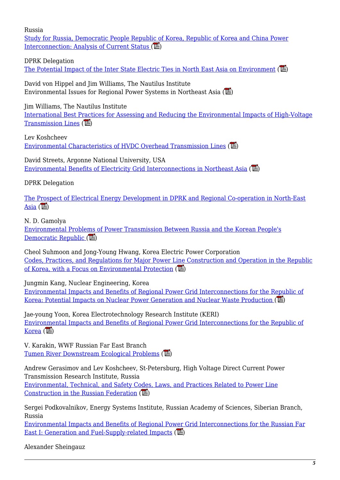Russia

[Study for Russia, Democratic People Republic of Korea, Republic of Korea and China Power](http://nautilus.wpengine.netdna-cdn.com/wp-content/uploads/2011/12/Podkovalnikov_0206171.pdf) [Interconnection: Analysis of Current Status](http://nautilus.wpengine.netdna-cdn.com/wp-content/uploads/2011/12/Podkovalnikov_0206171.pdf)  $(\mathbb{Z})$ 

DPRK Delegation

[The Potential Impact of the Inter State Electric Ties in North East Asia on Environment](http://nautilus.wpengine.netdna-cdn.com/wp-content/uploads/2011/12/K_DPRK_2_PPR.pdf)  $(\mathbb{Z})$ 

David von Hippel and Jim Williams, The Nautilus Institute Environmental Issues for Regional Power Systems in Northeast Asia  $(\mathbb{L})$ 

Jim Williams, The Nautilus Institute

[International Best Practices for Assessing and Reducing the Environmental Impacts of High-Voltage](https://nautilus.org/wp-content/uploads/2011/12/Env_Best_Practices_Williams_final.pdf) [Transmission Lines](https://nautilus.org/wp-content/uploads/2011/12/Env_Best_Practices_Williams_final.pdf)  $(\overline{\mathbb{L}})$ 

Lev Koshcheev [Environmental Characteristics of HVDC Overhead Transmission Lines](http://www.nautilus.org/wp-content/uploads/2012/01/Koshcheev_paper_final1.pdf) ( $\Box$ )

David Streets, Argonne National University, USA [Environmental Benefits of Electricity Grid Interconnections in Northeast Asia](https://nautilus.org/wp-content/uploads/2015/04/Z_Streets.pdf)  $(\mathbb{L})$ 

DPRK Delegation

[The Prospect of Electrical Energy Development in DPRK and Regional Co-operation in North-East](https://nautilus.org/wp-content/uploads/2011/12/B_DPRK_1_PPR.pdf) [Asia](https://nautilus.org/wp-content/uploads/2011/12/B_DPRK_1_PPR.pdf)  $(\mathbb{E})$ 

N. D. Gamolya [Environmental Problems of Power Transmission Between Russia and the Korean People's](https://nautilus.org/wp-content/uploads/2011/12/H_Gamolya.pdf) [Democratic Republic](https://nautilus.org/wp-content/uploads/2011/12/H_Gamolya.pdf)  $(\overline{\phantom{a}})$ 

Cheol Suhmoon and Jong-Young Hwang, Korea Electric Power Corporation [Codes, Practices, and Regulations for Major Power Line Construction and Operation in the Republic](https://nautilus.org/wp-content/uploads/2011/12/Paper_suhmoon_final.pdf) [of Korea, with a Focus on Environmental Protection](https://nautilus.org/wp-content/uploads/2011/12/Paper_suhmoon_final.pdf)  $(\mathbb{E})$ 

Jungmin Kang, Nuclear Engineering, Korea

[Environmental Impacts and Benefits of Regional Power Grid Interconnections for the Republic of](https://nautilus.org/wp-content/uploads/2011/12/Jungmin_KANG_final.pdf) Korea: Potential Impacts on Nuclear Power Generation and Nuclear Waste Production  $(\mathbb{L})$ 

Jae-young Yoon, Korea Electrotechnology Research Institute (KERI) [Environmental Impacts and Benefits of Regional Power Grid Interconnections for the Republic of](https://nautilus.org/wp-content/uploads/2011/12/yoon_paper_final1.pdf)  $Korea$  ( $\mathbb{E}$ )

V. Karakin, WWF Russian Far East Branch [Tumen River Downstream Ecological Problems](https://nautilus.org/wp-content/uploads/2011/12/Karakin_paper_final2.pdf) ( $\Box$ )

Andrew Gerasimov and Lev Koshcheev, St-Petersburg, High Voltage Direct Current Power Transmission Research Institute, Russia [Environmental, Technical, and Safety Codes, Laws, and Practices Related to Power Line](https://nautilus.org/wp-content/uploads/2011/12/Gerasimov-paper_final1.pdf) [Construction in the Russian Federation](https://nautilus.org/wp-content/uploads/2011/12/Gerasimov-paper_final1.pdf)  $(\mathbb{Z})$ 

Sergei Podkovalnikov, Energy Systems Institute, Russian Academy of Sciences, Siberian Branch, Russia

[Environmental Impacts and Benefits of Regional Power Grid Interconnections for the Russian Far](https://nautilus.org/wp-content/uploads/2011/12/Podkovalnikov_final.pdf) [East I: Generation and Fuel-Supply-related Impacts](https://nautilus.org/wp-content/uploads/2011/12/Podkovalnikov_final.pdf)  $(\Box)$ 

Alexander Sheingauz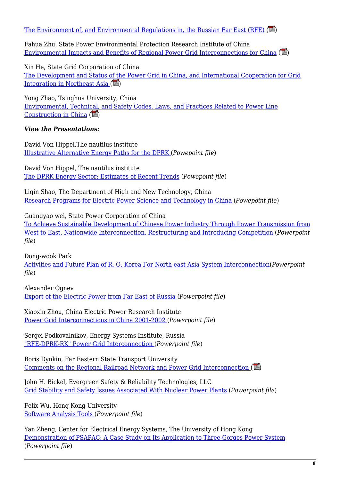[The Environment of, and Environmental Regulations in, the Russian Far East \(RFE\)](https://nautilus.org/wp-content/uploads/2011/12/paper_sheingauz_final2.pdf)  $(\mathbb{L})$ 

Fahua Zhu, State Power Environmental Protection Research Institute of China [Environmental Impacts and Benefits of Regional Power Grid Interconnections for China](https://nautilus.org/wp-content/uploads/2011/12/Environmental-Impacts_Zhu_final2.pdf)  $(\mathbb{L})$ 

Xin He, State Grid Corporation of China [The Development and Status of the Power Grid in China, and International Cooperation for Grid](https://nautilus.org/wp-content/uploads/2011/12/D_hexinPPR.pdf) Integration in Northeast Asia  $(\mathbb{Z})$ 

Yong Zhao, Tsinghua University, China [Environmental, Technical, and Safety Codes, Laws, and Practices Related to Power Line](https://nautilus.org/wp-content/uploads/2011/12/M_Zhao_PPR.pdf) [Construction in China](https://nautilus.org/wp-content/uploads/2011/12/M_Zhao_PPR.pdf)  $(\mathbb{Z})$ 

#### *View the Presentations:*

David Von Hippel,The nautilus institute [Illustrative Alternative Energy Paths for the DPRK](https://www.google.com/url?q=https://nautilus.org/wp-content/uploads/2011/12/DPRK_illust_Paths_grid21.ppt&sa=U&ei=wAk9VZ7_E5XkoATMiIGICg&ved=0CAQQFjAA&client=internal-uds-cse&usg=AFQjCNGdXwaQAir_TSjpt9JnaQIvIvVvwA) (*Powepoint file*)

David Von Hippel, The nautilus institute [The DPRK Energy Sector: Estimates of Recent Trends](https://www.google.com/url?q=https://nautilus.org/wp-content/uploads/2011/12/DPRK_intro_grid21.ppt&sa=U&ei=Iwo9Vfm8EJfSoATr7IHIAg&ved=0CAQQFjAA&client=internal-uds-cse&usg=AFQjCNGIs1eW9gPGMGvuZXu8J-5xYkUgcQ) (*Powepoint file*)

Liqin Shao, The Department of High and New Technology, China [Research Programs for Electric Power Science and Technology in China](https://www.google.com/url?q=https://nautilus.org/wp-content/uploads/2011/12/SHAO1.ppt&sa=U&ei=bgo9VaD4LoW2ogTF54DYAQ&ved=0CAYQFjAB&client=internal-uds-cse&usg=AFQjCNF4X23Ezdc3Km6M1S8xoL8Zj_pGsQ) (*Powepoint file*)

Guangyao wei, State Power Corporation of China

[To Achieve Sustainable Development of Chinese Power Industry Through Power Transmission from](https://www.google.com/url?q=https://nautilus.org/wp-content/uploads/2011/12/WEI1.ppt&sa=U&ei=sgo9VajnCcPwoASuyYCoDw&ved=0CAYQFjAB&client=internal-uds-cse&usg=AFQjCNFi8s6UIaHUvO74s7Yf36nJcbK9KA) [West to East, Nationwide Interconnection, Restructuring and Introducing Competition \(](https://www.google.com/url?q=https://nautilus.org/wp-content/uploads/2011/12/WEI1.ppt&sa=U&ei=sgo9VajnCcPwoASuyYCoDw&ved=0CAYQFjAB&client=internal-uds-cse&usg=AFQjCNFi8s6UIaHUvO74s7Yf36nJcbK9KA)*Powerpoint file*)

Dong-wook Park

[Activities and Future Plan of R. O. Korea For North-east Asia System Interconnection](https://www.google.com/url?q=https://nautilus.org/wp-content/uploads/2011/12/Yoon_updated2.ppt&sa=U&ei=3Qo9VaG_ApCQoQT6jYDICA&ved=0CAYQFjAB&client=internal-uds-cse&usg=AFQjCNFyIeEDwrrGNSpx5gPKWb_nxN6X5w)(*Powerpoint file*)

Alexander Ognev [Export of the Electric Power from Far East of Russia \(](https://www.google.com/url?q=https://nautilus.org/wp-content/uploads/2011/12/OGNEV1.ppt&sa=U&ei=_go9VeqWMc_xoASKnYCwCg&ved=0CAQQFjAA&client=internal-uds-cse&usg=AFQjCNFC51DXrnDIMA5HhzzCMi0P2N4ssw)*Powerpoint file*)

Xiaoxin Zhou, China Electric Power Research Institute [Power Grid Interconnections in China 2001-2002 \(](https://nautilus.org/wp-content/uploads/2011/12/ZHOU2.ppt)*Powerpoint file*)

Sergei Podkovalnikov, Energy Systems Institute, Russia ["RFE-DPRK-RK" Power Grid Interconnection](https://nautilus.org/wp-content/uploads/2011/12/07PODKOVALNIKOV-ESI1.ppt) (*Powerpoint file*)

Boris Dynkin, Far Eastern State Transport University Comments on the Regional Railroad Network and Power Grid Interconnection  $(\mathbb{Z})$ 

John H. Bickel, Evergreen Safety & Reliability Technologies, LLC [Grid Stability and Safety Issues Associated With Nuclear Power Plants \(](https://nautilus.org/wp-content/uploads/2011/12/BICKEL1.ppt)*Powerpoint file*)

Felix Wu, Hong Kong University [Software Analysis Tools \(](https://nautilus.org/wp-content/uploads/2011/12/WU.ppt)*Powerpoint file*)

Yan Zheng, Center for Electrical Energy Systems, The University of Hong Kong [Demonstration of PSAPAC: A Case Study on Its Application to Three-Gorges Power System](https://nautilus.org/wp-content/uploads/2011/12/YANSoftwareDemo2.ppt) (*Powerpoint file*)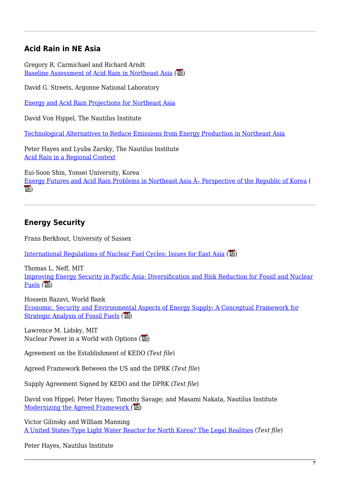#### **Acid Rain in NE Asia**

Gregory R. Carmichael and Richard Arndt [Baseline Assessment of Acid Rain in Northeast Asia](https://nautilus.org/napsnet/napsnet-policy-forum/baseline-assessment-of-acid-deposition-in-northeast-asia/)  $(\mathbb{Z})$ 

David G. Streets, Argonne National Laboratory

[Energy and Acid Rain Projections for Northeast Asia](https://nautilus.org/napsnet/napsnet-policy-forum/energy-and-acid-rain-projections-for-northeast-asia/)

David Von Hippel, The Nautilus Institute

[Technological Alternatives to Reduce Emissions from Energy Production in Northeast Asia](https://nautilus.org/napsnet/napsnet-policy-forum/technological-alternatives-to-reduce-emissions-from-energy-production-in-northeast-asia-full-text/)

Peter Hayes and Lyuba Zarsky, The Nautilus Institute [Acid Rain in a Regional Context](https://nautilus.org/staff-publications/acid-rain-in-a-regional-context/)

Eui-Soon Shin, Yonsei University, Korea Energy Futures and Acid Rain Problems in Northeast Asia  $\hat{A}$ - Perspective of the Republic of Korea (  $\overline{\mathbb{L}})$ 

#### **Energy Security**

Frans Berkhout, University of Sussex

[International Regulations of Nuclear Fuel Cycles: Issues for East Asia](https://nautilus.org/wp-content/uploads/2015/04/BerkhoutPARES.pdf)  $(\mathbb{Z})$ 

Thomas L. Neff, MIT [Improving Energy Security in Pacific Asia: Diversification and Risk Reduction for Fossil and Nuclear](https://nautilus.org/wp-content/uploads/2015/04/NeffPARES.pdf) [Fuels](https://nautilus.org/wp-content/uploads/2015/04/NeffPARES.pdf)  $(\mathbb{R})$ 

Hossein Razavi, World Bank [Economic, Security and Environmental Aspects of Energy Supply: A Conceptual Framework for](https://nautilus.org/wp-content/uploads/2015/04/RazaviPARES.pdf) [Strategic Analysis of Fossil Fuels](https://nautilus.org/wp-content/uploads/2015/04/RazaviPARES.pdf)  $(\overline{\phantom{a}})$ 

Lawrence M. Lidsky, MIT Nuclear Power in a World with Options  $(\mathbb{E})$ 

Agreement on the Establishment of KEDO (*Text file*)

Agreed Framework Between the US and the DPRK (*Text file*)

Supply Agreement Signed by KEDO and the DPRK (*Text file*)

David von Hippel; Peter Hayes; Timothy Savage; and Masami Nakata, Nautilus Institute [Modernizing the Agreed Framework](https://nautilus.org/wp-content/uploads/2011/12/ModernizingAF.pdf)  $(\Box)$ 

Victor Gilinsky and William Manning [A United States-Type Light Water Reactor for North Korea? The Legal Realities](https://nautilus.org/?p=42737&preview=true) (*Text file*)

Peter Hayes, Nautilus Institute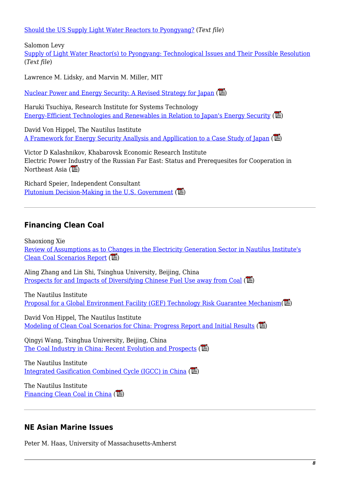[Should the US Supply Light Water Reactors to Pyongyang?](https://nautilus.org/?p=42738&preview=true) (*Text file*)

Salomon Levy

[Supply of Light Water Reactor\(s\) to Pyongyang: Technological Issues and Their Possible Resolution](https://nautilus.org/?p=42739&preview=true) (*Text file*)

Lawrence M. Lidsky, and Marvin M. Miller, MIT

[Nuclear Power and Energy Security: A Revised Strategy for Japan](https://nautilus.org/wp-content/uploads/2015/04/LidskyPARES.pdf) ( $\mathbb{E}$ )

Haruki Tsuchiya, Research Institute for Systems Technology [Energy-Efficient Technologies and Renewables in Relation to Japan's Energy Security](https://nautilus.org/wp-content/uploads/2015/04/TsuchiyaPARES.pdf) ( $\Box$ )

David Von Hippel, The Nautilus Institute [A Framework for Energy Security Anallysis and Appllication to a Case Study of Japan](https://nautilus.org/wp-content/uploads/2015/04/PARES_Synthesis_Report.pdf) ( $\Box$ )

Victor D Kalashnikov, Khabarovsk Economic Research Institute Electric Power Industry of the Russian Far East: Status and Prerequesites for Cooperation in Northeast Asia  $(\overline{\mathbb{L}})$ 

Richard Speier, Independent Consultant [Plutonium Decision-Making in the U.S. Government](https://nautilus.org/wp-content/uploads/2015/04/SpeierPARES.pdf)  $(\mathbb{Z})$ 

#### **Financing Clean Coal**

Shaoxiong Xie [Review of Assumptions as to Changes in the Electricity Generation Sector in Nautilus Institute's](https://nautilus.org/wp-content/uploads/2015/04/Rev2_final1.pdf) [Clean Coal Scenarios Report](https://nautilus.org/wp-content/uploads/2015/04/Rev2_final1.pdf) (

Aling Zhang and Lin Shi, Tsinghua University, Beijing, China [Prospects for and Impacts of Diversifying Chinese Fuel Use away from Coal](https://nautilus.org/wp-content/uploads/2015/04/C2_final1.pdf)  $(\mathbb{Z})$ 

The Nautilus Institute [Proposal for a Global Environment Facility \(GEF\) Technology Risk Guarantee Mechanism\(](https://nautilus.org/wp-content/uploads/2015/04/NIGEFESENAY3.pdf) $\mathbb{Z}$ )

David Von Hippel, The Nautilus Institute [Modeling of Clean Coal Scenarios for China: Progress Report and Initial Results](https://nautilus.org/wp-content/uploads/2011/12/DVH_cc_PAPER.pdf) ( $\mathbb{E}$ )

Qingyi Wang, Tsinghua University, Beijing, China [The Coal Industry in China: Recent Evolution and Prospects](https://nautilus.org/wp-content/uploads/2011/12/C5_final.pdf)  $(\mathbb{L})$ 

The Nautilus Institute [Integrated Gasification Combined Cycle \(IGCC\) in China](https://nautilus.org/wp-content/uploads/2015/04/NIGEFESENAY3.pdf)  $(\overline{\mathbb{L}})$ 

The Nautilus Institute [Financing Clean Coal in China](https://nautilus.org/wp-content/uploads/2015/04/NIfinanceESENAY3.pdf) ( $\mathbb{L}$ )

#### **NE Asian Marine Issues**

Peter M. Haas, University of Massachusetts-Amherst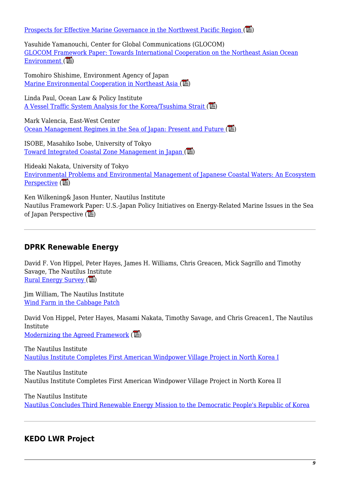Prospects for Effective Marine Governance in the Northwest Pacific Region  $(\blacksquare)$ 

Yasuhide Yamanouchi, Center for Global Communications (GLOCOM) [GLOCOM Framework Paper: Towards International Cooperation on the Northeast Asian Ocean](https://nautilus.org/?p=42748&preview=true) Environment  $(\mathbb{Z})$ 

Tomohiro Shishime, Environment Agency of Japan Marine Environmental Cooperation in Northeast Asia  $(\mathbb{Z})$ 

Linda Paul, Ocean Law & Policy Institute A Vessel Traffic System Analysis for the Korea/Tsushima Strait  $(\mathbb{Z})$ 

Mark Valencia, East-West Center [Ocean Management Regimes in the Sea of Japan: Present and Future](https://nautilus.org/napsnet/napsnet-policy-forum/ocean-management-regimes-in-the-sea-of-japan-present-and-future/)  $(\mathbb{L})$ 

ISOBE, Masahiko Isobe, University of Tokyo [Toward Integrated Coastal Zone Management in Japan](https://nautilus.org/wp-content/uploads/2015/04/IsobeESENAY2.pdf)  $(\mathbb{Z})$ 

Hideaki Nakata, University of Tokyo [Environmental Problems and Environmental Management of Japanese Coastal Waters: An Ecosystem](https://nautilus.org/wp-content/uploads/2015/04/NakataESENAY2.pdf) [Perspective](https://nautilus.org/wp-content/uploads/2015/04/NakataESENAY2.pdf)  $(\mathbb{Z})$ 

Ken Wilkening& Jason Hunter, Nautilus Institute Nautilus Framework Paper: U.S.-Japan Policy Initiatives on Energy-Related Marine Issues in the Sea of Japan Perspective  $(\mathbb{Z})$ 

#### **DPRK Renewable Energy**

David F. Von Hippel, Peter Hayes, James H. Williams, Chris Greacen, Mick Sagrillo and Timothy Savage, The Nautilus Institute Rural Energy Survey  $(\mathbb{Z})$ 

Jim William, The Nautilus Institute [Wind Farm in the Cabbage Patch](http://thebulletin.org/1999/may/wind-farm-cabbage-patch)

David Von Hippel, Peter Hayes, Masami Nakata, Timothy Savage, and Chris Greacen1, The Nautilus Institute

[Modernizing the Agreed Framework](https://nautilus.org/wp-content/uploads/2011/12/ModernizingAF.pdf)  $(\mathbb{Z})$ 

The Nautilus Institute [Nautilus Institute Completes First American Windpower Village Project in North Korea I](https://nautilus.org/?p=42753&preview=true)

The Nautilus Institute Nautilus Institute Completes First American Windpower Village Project in North Korea II

The Nautilus Institute [Nautilus Concludes Third Renewable Energy Mission to the Democratic People's Republic of Korea](https://nautilus.org/?p=42754&preview=true)

# **KEDO LWR Project**